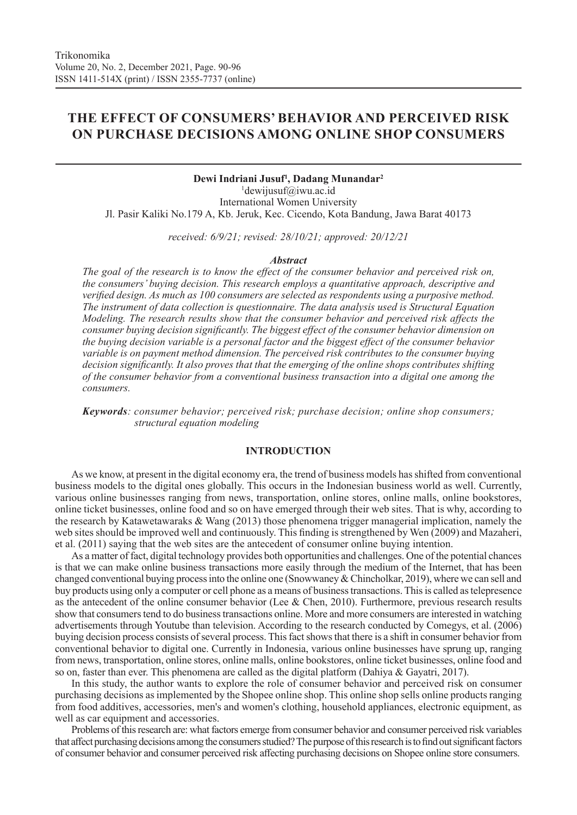# **THE EFFECT OF CONSUMERS' BEHAVIOR AND PERCEIVED RISK ON PURCHASE DECISIONS AMONG ONLINE SHOP CONSUMERS**

# **Dewi Indriani Jusuf1 , Dadang Munandar2**

1 dewijusuf@iwu.ac.id International Women University Jl. Pasir Kaliki No.179 A, Kb. Jeruk, Kec. Cicendo, Kota Bandung, Jawa Barat 40173

*received: 6/9/21; revised: 28/10/21; approved: 20/12/21*

#### *Abstract*

*The goal of the research is to know the effect of the consumer behavior and perceived risk on, the consumers' buying decision. This research employs a quantitative approach, descriptive and verified design. As much as 100 consumers are selected as respondents using a purposive method. The instrument of data collection is questionnaire. The data analysis used is Structural Equation Modeling. The research results show that the consumer behavior and perceived risk affects the consumer buying decision significantly. The biggest effect of the consumer behavior dimension on the buying decision variable is a personal factor and the biggest effect of the consumer behavior variable is on payment method dimension. The perceived risk contributes to the consumer buying decision significantly. It also proves that that the emerging of the online shops contributes shifting of the consumer behavior from a conventional business transaction into a digital one among the consumers.* 

*Keywords: consumer behavior; perceived risk; purchase decision; online shop consumers; structural equation modeling*

### **INTRODUCTION**

As we know, at present in the digital economy era, the trend of business models has shifted from conventional business models to the digital ones globally. This occurs in the Indonesian business world as well. Currently, various online businesses ranging from news, transportation, online stores, online malls, online bookstores, online ticket businesses, online food and so on have emerged through their web sites. That is why, according to the research by Katawetawaraks & Wang (2013) those phenomena trigger managerial implication, namely the web sites should be improved well and continuously. This finding is strengthened by Wen (2009) and Mazaheri, et al. (2011) saying that the web sites are the antecedent of consumer online buying intention.

As a matter of fact, digital technology provides both opportunities and challenges. One of the potential chances is that we can make online business transactions more easily through the medium of the Internet, that has been changed conventional buying process into the online one (Snowwaney & Chincholkar, 2019), where we can sell and buy products using only a computer or cell phone as a means of business transactions. This is called as telepresence as the antecedent of the online consumer behavior (Lee & Chen, 2010). Furthermore, previous research results show that consumers tend to do business transactions online. More and more consumers are interested in watching advertisements through Youtube than television. According to the research conducted by Comegys, et al. (2006) buying decision process consists of several process. This fact shows that there is a shift in consumer behavior from conventional behavior to digital one. Currently in Indonesia, various online businesses have sprung up, ranging from news, transportation, online stores, online malls, online bookstores, online ticket businesses, online food and so on, faster than ever. This phenomena are called as the digital platform (Dahiya & Gayatri, 2017).

In this study, the author wants to explore the role of consumer behavior and perceived risk on consumer purchasing decisions as implemented by the Shopee online shop. This online shop sells online products ranging from food additives, accessories, men's and women's clothing, household appliances, electronic equipment, as well as car equipment and accessories.

Problems of this research are: what factors emerge from consumer behavior and consumer perceived risk variables that affect purchasing decisions among the consumers studied? The purpose of this research is to find out significant factors of consumer behavior and consumer perceived risk affecting purchasing decisions on Shopee online store consumers.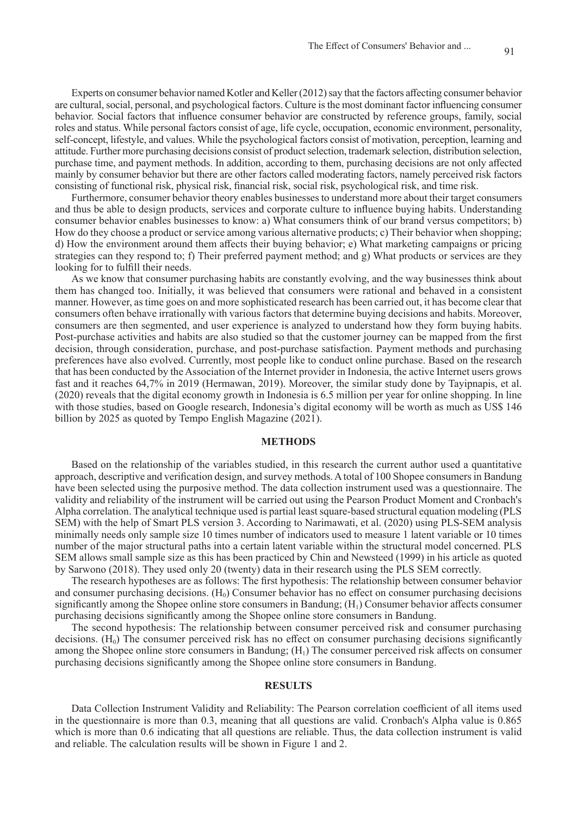Experts on consumer behavior named Kotler and Keller (2012) say that the factors affecting consumer behavior are cultural, social, personal, and psychological factors. Culture is the most dominant factor influencing consumer behavior. Social factors that influence consumer behavior are constructed by reference groups, family, social roles and status. While personal factors consist of age, life cycle, occupation, economic environment, personality, self-concept, lifestyle, and values. While the psychological factors consist of motivation, perception, learning and attitude. Further more purchasing decisions consist of product selection, trademark selection, distribution selection, purchase time, and payment methods. In addition, according to them, purchasing decisions are not only affected mainly by consumer behavior but there are other factors called moderating factors, namely perceived risk factors consisting of functional risk, physical risk, financial risk, social risk, psychological risk, and time risk.

Furthermore, consumer behavior theory enables businesses to understand more about their target consumers and thus be able to design products, services and corporate culture to influence buying habits. Understanding consumer behavior enables businesses to know: a) What consumers think of our brand versus competitors; b) How do they choose a product or service among various alternative products; c) Their behavior when shopping; d) How the environment around them affects their buying behavior; e) What marketing campaigns or pricing strategies can they respond to; f) Their preferred payment method; and g) What products or services are they looking for to fulfill their needs.

As we know that consumer purchasing habits are constantly evolving, and the way businesses think about them has changed too. Initially, it was believed that consumers were rational and behaved in a consistent manner. However, as time goes on and more sophisticated research has been carried out, it has become clear that consumers often behave irrationally with various factors that determine buying decisions and habits. Moreover, consumers are then segmented, and user experience is analyzed to understand how they form buying habits. Post-purchase activities and habits are also studied so that the customer journey can be mapped from the first decision, through consideration, purchase, and post-purchase satisfaction. Payment methods and purchasing preferences have also evolved. Currently, most people like to conduct online purchase. Based on the research that has been conducted by the Association of the Internet provider in Indonesia, the active Internet users grows fast and it reaches 64,7% in 2019 (Hermawan, 2019). Moreover, the similar study done by Tayipnapis, et al. (2020) reveals that the digital economy growth in Indonesia is 6.5 million per year for online shopping. In line with those studies, based on Google research, Indonesia's digital economy will be worth as much as US\$ 146 billion by 2025 as quoted by Tempo English Magazine (2021).

#### **METHODS**

Based on the relationship of the variables studied, in this research the current author used a quantitative approach, descriptive and verification design, and survey methods. A total of 100 Shopee consumers in Bandung have been selected using the purposive method. The data collection instrument used was a questionnaire. The validity and reliability of the instrument will be carried out using the Pearson Product Moment and Cronbach's Alpha correlation. The analytical technique used is partial least square-based structural equation modeling (PLS SEM) with the help of Smart PLS version 3. According to Narimawati, et al. (2020) using PLS-SEM analysis minimally needs only sample size 10 times number of indicators used to measure 1 latent variable or 10 times number of the major structural paths into a certain latent variable within the structural model concerned. PLS SEM allows small sample size as this has been practiced by Chin and Newsteed (1999) in his article as quoted by Sarwono (2018). They used only 20 (twenty) data in their research using the PLS SEM correctly.

The research hypotheses are as follows: The first hypothesis: The relationship between consumer behavior and consumer purchasing decisions.  $(H_0)$  Consumer behavior has no effect on consumer purchasing decisions significantly among the Shopee online store consumers in Bandung;  $(H<sub>1</sub>)$  Consumer behavior affects consumer purchasing decisions significantly among the Shopee online store consumers in Bandung.

The second hypothesis: The relationship between consumer perceived risk and consumer purchasing decisions.  $(H_0)$  The consumer perceived risk has no effect on consumer purchasing decisions significantly among the Shopee online store consumers in Bandung;  $(H_1)$  The consumer perceived risk affects on consumer purchasing decisions significantly among the Shopee online store consumers in Bandung.

#### **RESULTS**

Data Collection Instrument Validity and Reliability: The Pearson correlation coefficient of all items used in the questionnaire is more than 0.3, meaning that all questions are valid. Cronbach's Alpha value is 0.865 which is more than 0.6 indicating that all questions are reliable. Thus, the data collection instrument is valid and reliable. The calculation results will be shown in Figure 1 and 2.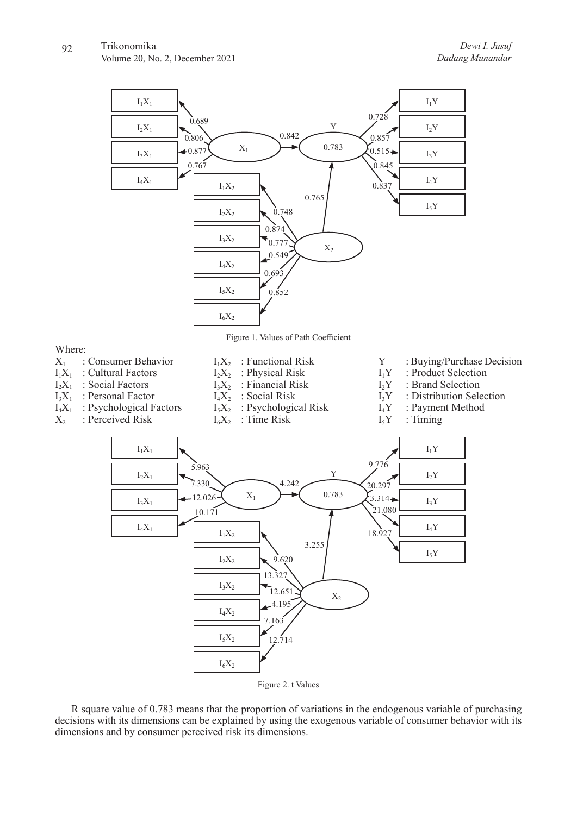Where:

Volume 20, No. 2, December 2021





R square value of 0.783 means that the proportion of variations in the endogenous variable of purchasing decisions with its dimensions can be explained by using the exogenous variable of consumer behavior with its dimensions and by consumer perceived risk its dimensions.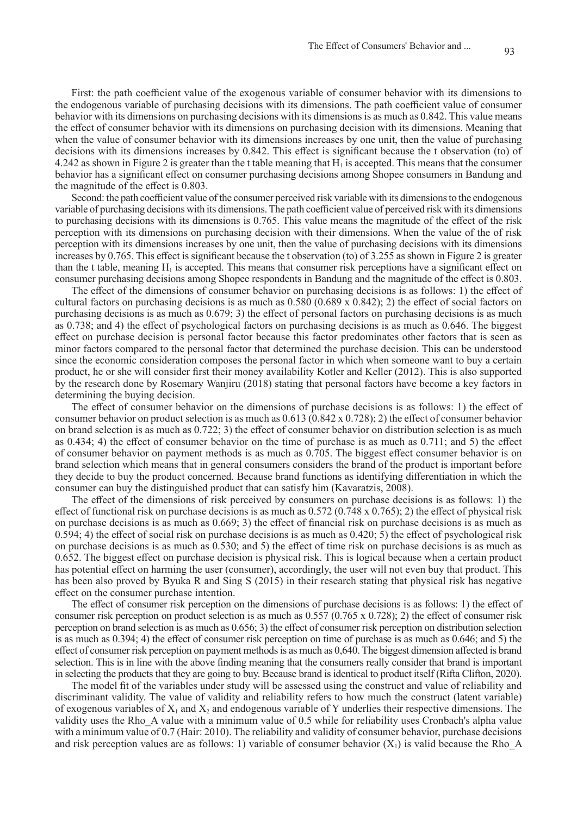First: the path coefficient value of the exogenous variable of consumer behavior with its dimensions to the endogenous variable of purchasing decisions with its dimensions. The path coefficient value of consumer behavior with its dimensions on purchasing decisions with its dimensions is as much as 0.842. This value means the effect of consumer behavior with its dimensions on purchasing decision with its dimensions. Meaning that when the value of consumer behavior with its dimensions increases by one unit, then the value of purchasing decisions with its dimensions increases by 0.842. This effect is significant because the t observation (to) of 4.242 as shown in Figure 2 is greater than the t table meaning that  $H_1$  is accepted. This means that the consumer behavior has a significant effect on consumer purchasing decisions among Shopee consumers in Bandung and the magnitude of the effect is 0.803.

Second: the path coefficient value of the consumer perceived risk variable with its dimensions to the endogenous variable of purchasing decisions with its dimensions. The path coefficient value of perceived risk with its dimensions to purchasing decisions with its dimensions is 0.765. This value means the magnitude of the effect of the risk perception with its dimensions on purchasing decision with their dimensions. When the value of the of risk perception with its dimensions increases by one unit, then the value of purchasing decisions with its dimensions increases by 0.765. This effect is significant because the t observation (to) of 3.255 as shown in Figure 2 is greater than the t table, meaning  $H_1$  is accepted. This means that consumer risk perceptions have a significant effect on consumer purchasing decisions among Shopee respondents in Bandung and the magnitude of the effect is 0.803.

The effect of the dimensions of consumer behavior on purchasing decisions is as follows: 1) the effect of cultural factors on purchasing decisions is as much as  $0.580 (0.689 \times 0.842)$ ; 2) the effect of social factors on purchasing decisions is as much as 0.679; 3) the effect of personal factors on purchasing decisions is as much as 0.738; and 4) the effect of psychological factors on purchasing decisions is as much as 0.646. The biggest effect on purchase decision is personal factor because this factor predominates other factors that is seen as minor factors compared to the personal factor that determined the purchase decision. This can be understood since the economic consideration composes the personal factor in which when someone want to buy a certain product, he or she will consider first their money availability Kotler and Keller (2012). This is also supported by the research done by Rosemary Wanjiru (2018) stating that personal factors have become a key factors in determining the buying decision.

The effect of consumer behavior on the dimensions of purchase decisions is as follows: 1) the effect of consumer behavior on product selection is as much as 0.613 (0.842 x 0.728); 2) the effect of consumer behavior on brand selection is as much as 0.722; 3) the effect of consumer behavior on distribution selection is as much as 0.434; 4) the effect of consumer behavior on the time of purchase is as much as 0.711; and 5) the effect of consumer behavior on payment methods is as much as 0.705. The biggest effect consumer behavior is on brand selection which means that in general consumers considers the brand of the product is important before they decide to buy the product concerned. Because brand functions as identifying differentiation in which the consumer can buy the distinguished product that can satisfy him (Kavaratzis, 2008).

The effect of the dimensions of risk perceived by consumers on purchase decisions is as follows: 1) the effect of functional risk on purchase decisions is as much as  $0.572 (0.748 \times 0.765)$ ; 2) the effect of physical risk on purchase decisions is as much as 0.669; 3) the effect of financial risk on purchase decisions is as much as  $0.594$ ; 4) the effect of social risk on purchase decisions is as much as  $0.420$ ; 5) the effect of psychological risk on purchase decisions is as much as 0.530; and 5) the effect of time risk on purchase decisions is as much as 0.652. The biggest effect on purchase decision is physical risk. This is logical because when a certain product has potential effect on harming the user (consumer), accordingly, the user will not even buy that product. This has been also proved by Byuka R and Sing S (2015) in their research stating that physical risk has negative effect on the consumer purchase intention.

The effect of consumer risk perception on the dimensions of purchase decisions is as follows: 1) the effect of consumer risk perception on product selection is as much as  $0.557 (0.765 \times 0.728)$ ; 2) the effect of consumer risk perception on brand selection is as much as 0.656; 3) the effect of consumer risk perception on distribution selection is as much as 0.394; 4) the effect of consumer risk perception on time of purchase is as much as 0.646; and 5) the effect of consumer risk perception on payment methods is as much as 0,640. The biggest dimension affected is brand selection. This is in line with the above finding meaning that the consumers really consider that brand is important in selecting the products that they are going to buy. Because brand is identical to product itself (Rifta Clifton, 2020).

The model fit of the variables under study will be assessed using the construct and value of reliability and discriminant validity. The value of validity and reliability refers to how much the construct (latent variable) of exogenous variables of  $X_1$  and  $X_2$  and endogenous variable of Y underlies their respective dimensions. The validity uses the Rho\_A value with a minimum value of 0.5 while for reliability uses Cronbach's alpha value with a minimum value of 0.7 (Hair: 2010). The reliability and validity of consumer behavior, purchase decisions and risk perception values are as follows: 1) variable of consumer behavior  $(X_1)$  is valid because the Rho–A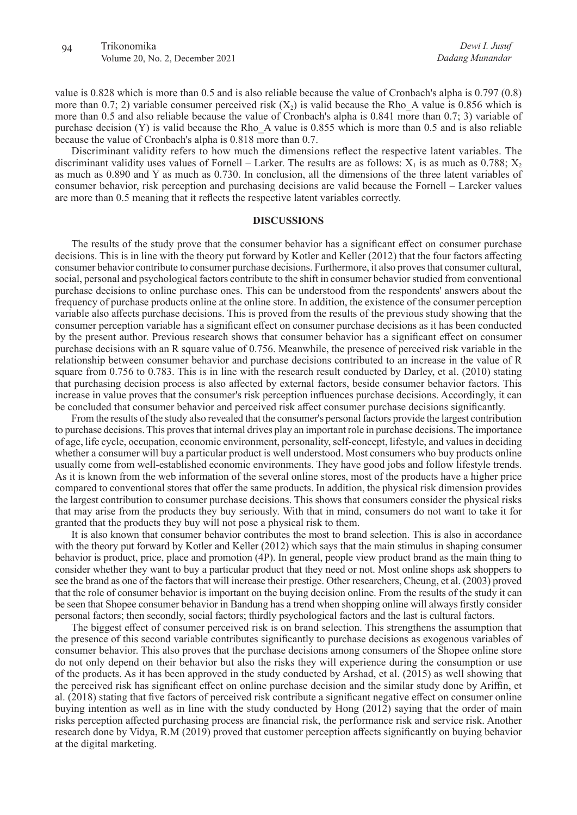value is 0.828 which is more than 0.5 and is also reliable because the value of Cronbach's alpha is 0.797 (0.8) more than 0.7; 2) variable consumer perceived risk  $(X_2)$  is valid because the Rho A value is 0.856 which is more than 0.5 and also reliable because the value of Cronbach's alpha is 0.841 more than 0.7; 3) variable of purchase decision  $(Y)$  is valid because the Rho A value is 0.855 which is more than 0.5 and is also reliable because the value of Cronbach's alpha is 0.818 more than 0.7.

Discriminant validity refers to how much the dimensions reflect the respective latent variables. The discriminant validity uses values of Fornell – Larker. The results are as follows:  $X_1$  is as much as 0.788;  $X_2$ as much as 0.890 and Y as much as 0.730. In conclusion, all the dimensions of the three latent variables of consumer behavior, risk perception and purchasing decisions are valid because the Fornell – Larcker values are more than 0.5 meaning that it reflects the respective latent variables correctly.

#### **DISCUSSIONS**

The results of the study prove that the consumer behavior has a significant effect on consumer purchase decisions. This is in line with the theory put forward by Kotler and Keller (2012) that the four factors affecting consumer behavior contribute to consumer purchase decisions. Furthermore, it also proves that consumer cultural, social, personal and psychological factors contribute to the shift in consumer behavior studied from conventional purchase decisions to online purchase ones. This can be understood from the respondents' answers about the frequency of purchase products online at the online store. In addition, the existence of the consumer perception variable also affects purchase decisions. This is proved from the results of the previous study showing that the consumer perception variable has a significant effect on consumer purchase decisions as it has been conducted by the present author. Previous research shows that consumer behavior has a significant effect on consumer purchase decisions with an R square value of 0.756. Meanwhile, the presence of perceived risk variable in the relationship between consumer behavior and purchase decisions contributed to an increase in the value of R square from 0.756 to 0.783. This is in line with the research result conducted by Darley, et al. (2010) stating that purchasing decision process is also affected by external factors, beside consumer behavior factors. This increase in value proves that the consumer's risk perception influences purchase decisions. Accordingly, it can be concluded that consumer behavior and perceived risk affect consumer purchase decisions significantly.

From the results of the study also revealed that the consumer's personal factors provide the largest contribution to purchase decisions. This proves that internal drives play an important role in purchase decisions. The importance of age, life cycle, occupation, economic environment, personality, self-concept, lifestyle, and values in deciding whether a consumer will buy a particular product is well understood. Most consumers who buy products online usually come from well-established economic environments. They have good jobs and follow lifestyle trends. As it is known from the web information of the several online stores, most of the products have a higher price compared to conventional stores that offer the same products. In addition, the physical risk dimension provides the largest contribution to consumer purchase decisions. This shows that consumers consider the physical risks that may arise from the products they buy seriously. With that in mind, consumers do not want to take it for granted that the products they buy will not pose a physical risk to them.

It is also known that consumer behavior contributes the most to brand selection. This is also in accordance with the theory put forward by Kotler and Keller (2012) which says that the main stimulus in shaping consumer behavior is product, price, place and promotion (4P). In general, people view product brand as the main thing to consider whether they want to buy a particular product that they need or not. Most online shops ask shoppers to see the brand as one of the factors that will increase their prestige. Other researchers, Cheung, et al. (2003) proved that the role of consumer behavior is important on the buying decision online. From the results of the study it can be seen that Shopee consumer behavior in Bandung has a trend when shopping online will always firstly consider personal factors; then secondly, social factors; thirdly psychological factors and the last is cultural factors.

The biggest effect of consumer perceived risk is on brand selection. This strengthens the assumption that the presence of this second variable contributes significantly to purchase decisions as exogenous variables of consumer behavior. This also proves that the purchase decisions among consumers of the Shopee online store do not only depend on their behavior but also the risks they will experience during the consumption or use of the products. As it has been approved in the study conducted by Arshad, et al. (2015) as well showing that the perceived risk has significant effect on online purchase decision and the similar study done by Ariffin, et al. (2018) stating that five factors of perceived risk contribute a significant negative effect on consumer online buying intention as well as in line with the study conducted by Hong (2012) saying that the order of main risks perception affected purchasing process are financial risk, the performance risk and service risk. Another research done by Vidya, R.M (2019) proved that customer perception affects significantly on buying behavior at the digital marketing.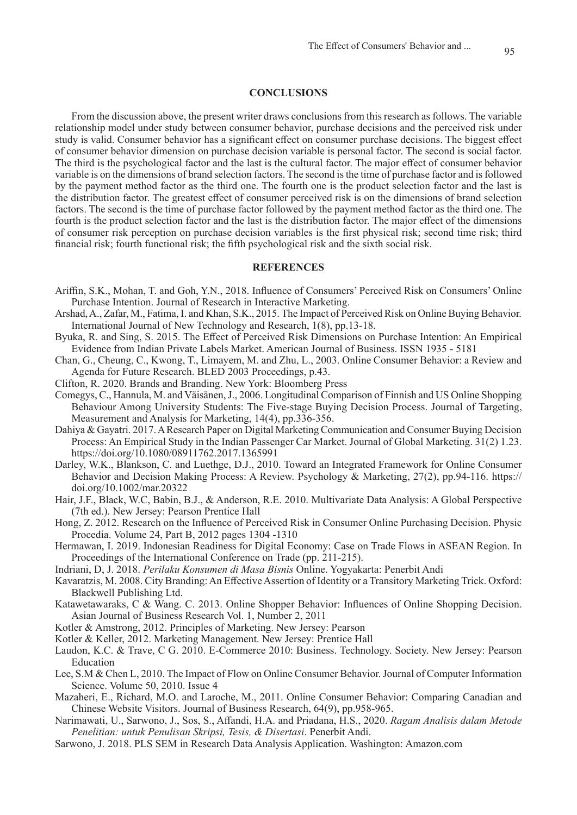#### **CONCLUSIONS**

From the discussion above, the present writer draws conclusions from this research as follows. The variable relationship model under study between consumer behavior, purchase decisions and the perceived risk under study is valid. Consumer behavior has a significant effect on consumer purchase decisions. The biggest effect of consumer behavior dimension on purchase decision variable is personal factor. The second is social factor. The third is the psychological factor and the last is the cultural factor. The major effect of consumer behavior variable is on the dimensions of brand selection factors. The second is the time of purchase factor and is followed by the payment method factor as the third one. The fourth one is the product selection factor and the last is the distribution factor. The greatest effect of consumer perceived risk is on the dimensions of brand selection factors. The second is the time of purchase factor followed by the payment method factor as the third one. The fourth is the product selection factor and the last is the distribution factor. The major effect of the dimensions of consumer risk perception on purchase decision variables is the first physical risk; second time risk; third financial risk; fourth functional risk; the fifth psychological risk and the sixth social risk.

## **REFERENCES**

- Ariffin, S.K., Mohan, T. and Goh, Y.N., 2018. Influence of Consumers' Perceived Risk on Consumers' Online Purchase Intention. Journal of Research in Interactive Marketing.
- Arshad, A., Zafar, M., Fatima, I. and Khan, S.K., 2015. The Impact of Perceived Risk on Online Buying Behavior. International Journal of New Technology and Research, 1(8), pp.13-18.
- Byuka, R. and Sing, S. 2015. The Effect of Perceived Risk Dimensions on Purchase Intention: An Empirical Evidence from Indian Private Labels Market. American Journal of Business. ISSN 1935 - 5181
- Chan, G., Cheung, C., Kwong, T., Limayem, M. and Zhu, L., 2003. Online Consumer Behavior: a Review and Agenda for Future Research. BLED 2003 Proceedings, p.43.
- Clifton, R. 2020. Brands and Branding. New York: Bloomberg Press
- Comegys, C., Hannula, M. and Väisänen, J., 2006. Longitudinal Comparison of Finnish and US Online Shopping Behaviour Among University Students: The Five-stage Buying Decision Process. Journal of Targeting, Measurement and Analysis for Marketing, 14(4), pp.336-356.
- Dahiya & Gayatri. 2017. A Research Paper on Digital Marketing Communication and Consumer Buying Decision Process: An Empirical Study in the Indian Passenger Car Market. Journal of Global Marketing. 31(2) 1.23. https://doi.org/10.1080/08911762.2017.1365991
- Darley, W.K., Blankson, C. and Luethge, D.J., 2010. Toward an Integrated Framework for Online Consumer Behavior and Decision Making Process: A Review. Psychology & Marketing, 27(2), pp.94-116. https:// doi.org/10.1002/mar.20322
- Hair, J.F., Black, W.C, Babin, B.J., & Anderson, R.E. 2010. Multivariate Data Analysis: A Global Perspective (7th ed.). New Jersey: Pearson Prentice Hall
- Hong, Z. 2012. Research on the Influence of Perceived Risk in Consumer Online Purchasing Decision. Physic Procedia. Volume 24, Part B, 2012 pages 1304 -1310
- Hermawan, I. 2019. Indonesian Readiness for Digital Economy: Case on Trade Flows in ASEAN Region. In Proceedings of the International Conference on Trade (pp. 211-215).
- Indriani, D, J. 2018. *Perilaku Konsumen di Masa Bisnis* Online. Yogyakarta: Penerbit Andi
- Kavaratzis, M. 2008. City Branding: An Effective Assertion of Identity or a Transitory Marketing Trick. Oxford: Blackwell Publishing Ltd.
- Katawetawaraks, C & Wang. C. 2013. Online Shopper Behavior: Influences of Online Shopping Decision. Asian Journal of Business Research Vol. 1, Number 2, 2011
- Kotler & Amstrong, 2012. Principles of Marketing. New Jersey: Pearson
- Kotler & Keller, 2012. Marketing Management. New Jersey: Prentice Hall
- Laudon, K.C. & Trave, C G. 2010. E-Commerce 2010: Business. Technology. Society. New Jersey: Pearson Education
- Lee, S.M & Chen L, 2010. The Impact of Flow on Online Consumer Behavior. Journal of Computer Information Science. Volume 50, 2010. Issue 4
- Mazaheri, E., Richard, M.O. and Laroche, M., 2011. Online Consumer Behavior: Comparing Canadian and Chinese Website Visitors. Journal of Business Research, 64(9), pp.958-965.
- Narimawati, U., Sarwono, J., Sos, S., Affandi, H.A. and Priadana, H.S., 2020. *Ragam Analisis dalam Metode Penelitian: untuk Penulisan Skripsi, Tesis, & Disertasi*. Penerbit Andi.
- Sarwono, J. 2018. PLS SEM in Research Data Analysis Application. Washington: Amazon.com